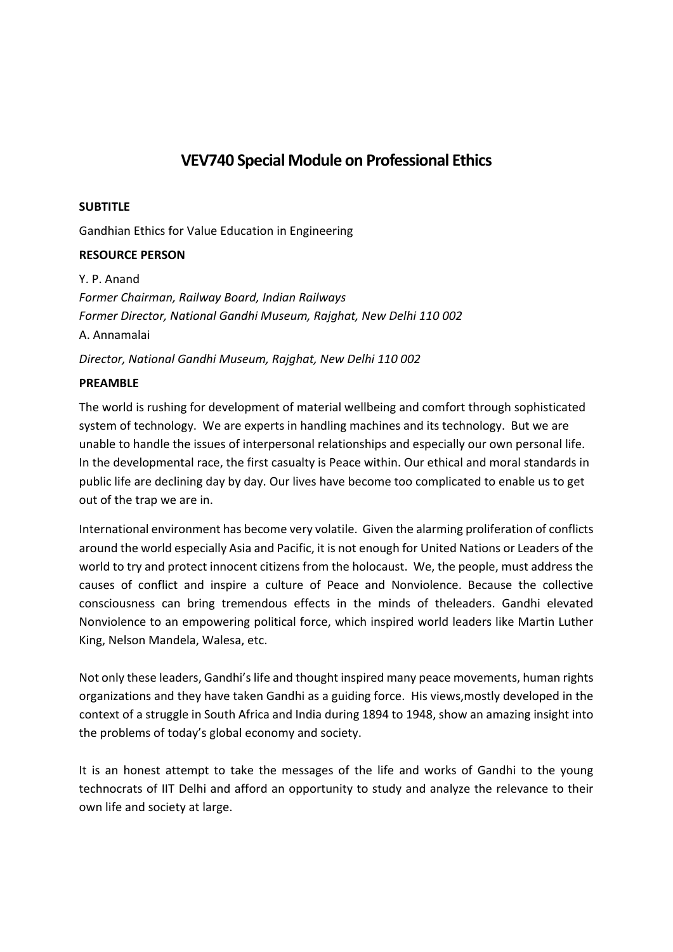# **VEV740 Special Module on Professional Ethics**

### **SUBTITLE**

Gandhian Ethics for Value Education in Engineering

## **RESOURCE PERSON**

Y. P. Anand *Former Chairman, Railway Board, Indian Railways Former Director, National Gandhi Museum, Rajghat, New Delhi 110 002*  A. Annamalai *Director, National Gandhi Museum, Rajghat, New Delhi 110 002*

## **PREAMBLE**

The world is rushing for development of material wellbeing and comfort through sophisticated system of technology. We are experts in handling machines and its technology. But we are unable to handle the issues of interpersonal relationships and especially our own personal life. In the developmental race, the first casualty is Peace within. Our ethical and moral standards in public life are declining day by day. Our lives have become too complicated to enable us to get out of the trap we are in.

International environment has become very volatile. Given the alarming proliferation of conflicts around the world especially Asia and Pacific, it is not enough for United Nations or Leaders of the world to try and protect innocent citizens from the holocaust. We, the people, must address the causes of conflict and inspire a culture of Peace and Nonviolence. Because the collective consciousness can bring tremendous effects in the minds of theleaders. Gandhi elevated Nonviolence to an empowering political force, which inspired world leaders like Martin Luther King, Nelson Mandela, Walesa, etc.

Not only these leaders, Gandhi's life and thought inspired many peace movements, human rights organizations and they have taken Gandhi as a guiding force. His views,mostly developed in the context of a struggle in South Africa and India during 1894 to 1948, show an amazing insight into the problems of today's global economy and society.

It is an honest attempt to take the messages of the life and works of Gandhi to the young technocrats of IIT Delhi and afford an opportunity to study and analyze the relevance to their own life and society at large.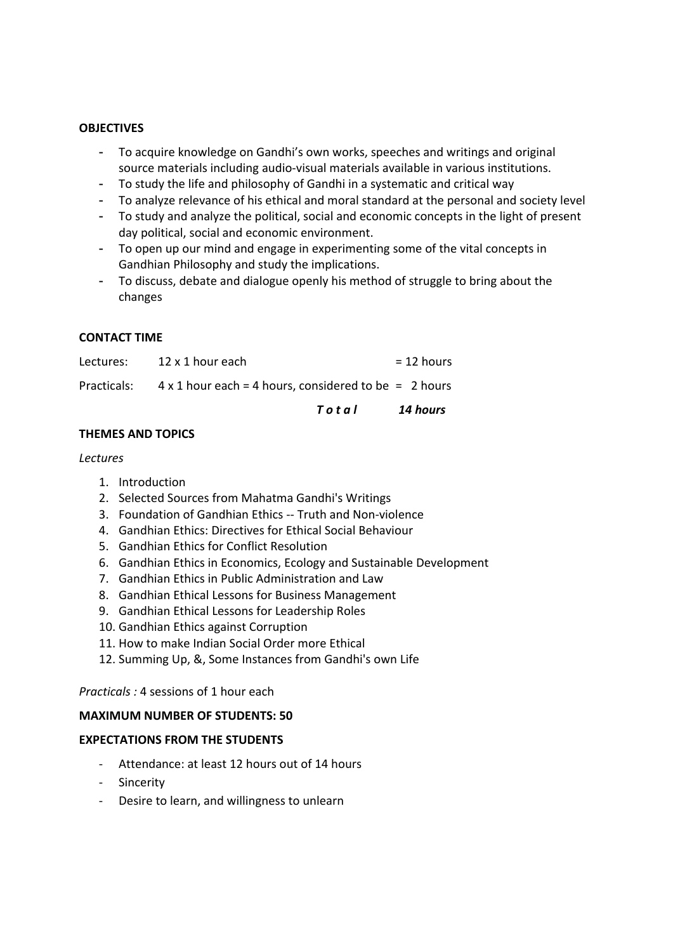### **OBJECTIVES**

- To acquire knowledge on Gandhi's own works, speeches and writings and original source materials including audio‐visual materials available in various institutions.
- To study the life and philosophy of Gandhi in a systematic and critical way
- To analyze relevance of his ethical and moral standard at the personal and society level
- To study and analyze the political, social and economic concepts in the light of present day political, social and economic environment.
- To open up our mind and engage in experimenting some of the vital concepts in Gandhian Philosophy and study the implications.
- To discuss, debate and dialogue openly his method of struggle to bring about the changes

### **CONTACT TIME**

| Total                                                                    | 14 hours     |
|--------------------------------------------------------------------------|--------------|
| Practicals: $4 \times 1$ hour each = 4 hours, considered to be = 2 hours |              |
| Lectures: 12 x 1 hour each                                               | $= 12$ hours |

## **THEMES AND TOPICS**

### *Lectures*

- 1. Introduction
- 2. Selected Sources from Mahatma Gandhi's Writings
- 3. Foundation of Gandhian Ethics ‐‐ Truth and Non‐violence
- 4. Gandhian Ethics: Directives for Ethical Social Behaviour
- 5. Gandhian Ethics for Conflict Resolution
- 6. Gandhian Ethics in Economics, Ecology and Sustainable Development
- 7. Gandhian Ethics in Public Administration and Law
- 8. Gandhian Ethical Lessons for Business Management
- 9. Gandhian Ethical Lessons for Leadership Roles
- 10. Gandhian Ethics against Corruption
- 11. How to make Indian Social Order more Ethical
- 12. Summing Up, &, Some Instances from Gandhi's own Life

*Practicals :* 4 sessions of 1 hour each

### **MAXIMUM NUMBER OF STUDENTS: 50**

### **EXPECTATIONS FROM THE STUDENTS**

- ‐ Attendance: at least 12 hours out of 14 hours
- ‐ Sincerity
- ‐ Desire to learn, and willingness to unlearn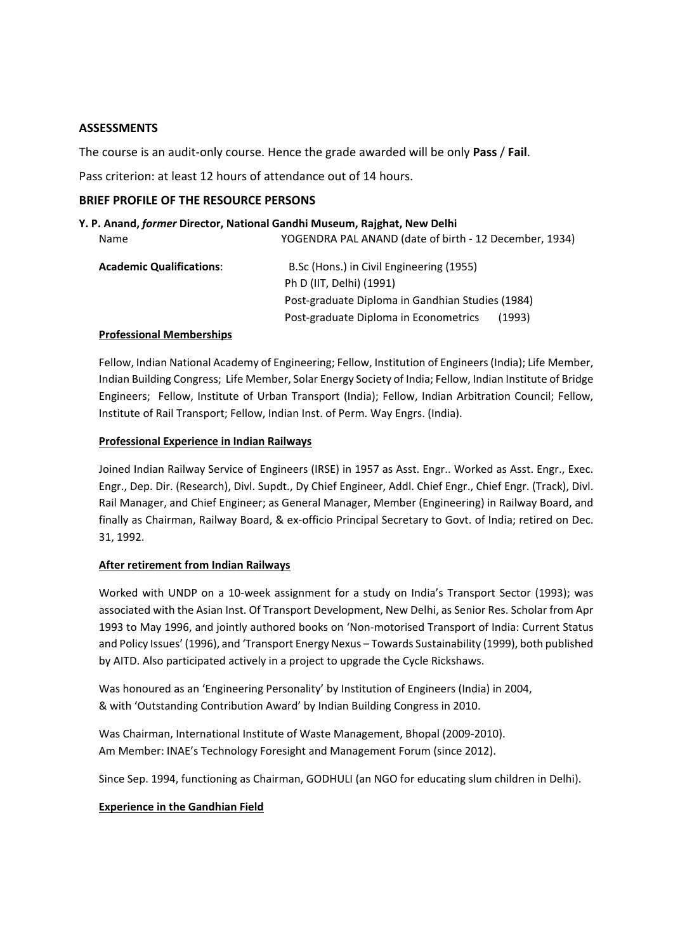### **ASSESSMENTS**

The course is an audit‐only course. Hence the grade awarded will be only **Pass** / **Fail**.

Pass criterion: at least 12 hours of attendance out of 14 hours.

### **BRIEF PROFILE OF THE RESOURCE PERSONS**

## **Y. P. Anand,** *former* **Director, National Gandhi Museum, Rajghat, New Delhi**

| B.Sc (Hons.) in Civil Engineering (1955)        |                                                                                                            |
|-------------------------------------------------|------------------------------------------------------------------------------------------------------------|
| Ph D (IIT, Delhi) (1991)                        |                                                                                                            |
|                                                 |                                                                                                            |
| Post-graduate Diploma in Econometrics<br>(1993) |                                                                                                            |
|                                                 | YOGENDRA PAL ANAND (date of birth - 12 December, 1934)<br>Post-graduate Diploma in Gandhian Studies (1984) |

### **Professional Memberships**

Fellow, Indian National Academy of Engineering; Fellow, Institution of Engineers(India); Life Member, Indian Building Congress; Life Member, Solar Energy Society of India; Fellow, Indian Institute of Bridge Engineers; Fellow, Institute of Urban Transport (India); Fellow, Indian Arbitration Council; Fellow, Institute of Rail Transport; Fellow, Indian Inst. of Perm. Way Engrs. (India).

### **Professional Experience in Indian Railways**

Joined Indian Railway Service of Engineers (IRSE) in 1957 as Asst. Engr.. Worked as Asst. Engr., Exec. Engr., Dep. Dir. (Research), Divl. Supdt., Dy Chief Engineer, Addl. Chief Engr., Chief Engr. (Track), Divl. Rail Manager, and Chief Engineer; as General Manager, Member (Engineering) in Railway Board, and finally as Chairman, Railway Board, & ex-officio Principal Secretary to Govt. of India; retired on Dec. 31, 1992.

### **After retirement from Indian Railways**

Worked with UNDP on a 10-week assignment for a study on India's Transport Sector (1993); was associated with the Asian Inst. Of Transport Development, New Delhi, as Senior Res. Scholar from Apr 1993 to May 1996, and jointly authored books on 'Non‐motorised Transport of India: Current Status and Policy Issues' (1996), and 'Transport Energy Nexus – Towards Sustainability (1999), both published by AITD. Also participated actively in a project to upgrade the Cycle Rickshaws.

Was honoured as an 'Engineering Personality' by Institution of Engineers (India) in 2004, & with 'Outstanding Contribution Award' by Indian Building Congress in 2010.

Was Chairman, International Institute of Waste Management, Bhopal (2009‐2010). Am Member: INAE's Technology Foresight and Management Forum (since 2012).

Since Sep. 1994, functioning as Chairman, GODHULI (an NGO for educating slum children in Delhi).

## **Experience in the Gandhian Field**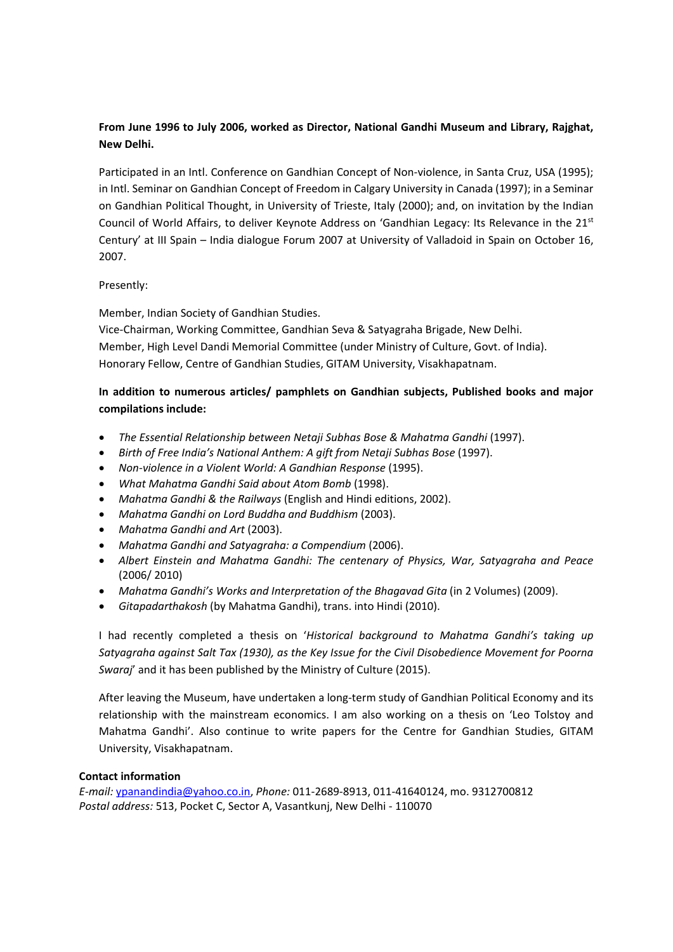## **From June 1996 to July 2006, worked as Director, National Gandhi Museum and Library, Rajghat, New Delhi.**

Participated in an Intl. Conference on Gandhian Concept of Non-violence, in Santa Cruz, USA (1995); in Intl. Seminar on Gandhian Concept of Freedom in Calgary University in Canada (1997); in a Seminar on Gandhian Political Thought, in University of Trieste, Italy (2000); and, on invitation by the Indian Council of World Affairs, to deliver Keynote Address on 'Gandhian Legacy: Its Relevance in the 21st Century' at III Spain – India dialogue Forum 2007 at University of Valladoid in Spain on October 16, 2007.

### Presently:

Member, Indian Society of Gandhian Studies.

Vice‐Chairman, Working Committee, Gandhian Seva & Satyagraha Brigade, New Delhi. Member, High Level Dandi Memorial Committee (under Ministry of Culture, Govt. of India). Honorary Fellow, Centre of Gandhian Studies, GITAM University, Visakhapatnam.

## **In addition to numerous articles/ pamphlets on Gandhian subjects, Published books and major compilations include:**

- *The Essential Relationship between Netaji Subhas Bose & Mahatma Gandhi* (1997).
- *Birth of Free India's National Anthem: A gift from Netaji Subhas Bose* (1997).
- *Non‐violence in a Violent World: A Gandhian Response* (1995).
- *What Mahatma Gandhi Said about Atom Bomb* (1998).
- *Mahatma Gandhi & the Railways* (English and Hindi editions, 2002).
- *Mahatma Gandhi on Lord Buddha and Buddhism* (2003).
- *Mahatma Gandhi and Art* (2003).
- *Mahatma Gandhi and Satyagraha: a Compendium* (2006).
- *Albert Einstein and Mahatma Gandhi: The centenary of Physics, War, Satyagraha and Peace* (2006/ 2010)
- *Mahatma Gandhi's Works and Interpretation of the Bhagavad Gita* (in 2 Volumes) (2009).
- *Gitapadarthakosh* (by Mahatma Gandhi), trans. into Hindi (2010).

I had recently completed a thesis on '*Historical background to Mahatma Gandhi's taking up Satyagraha against Salt Tax (1930), as the Key Issue for the Civil Disobedience Movement for Poorna Swaraj*' and it has been published by the Ministry of Culture (2015).

After leaving the Museum, have undertaken a long‐term study of Gandhian Political Economy and its relationship with the mainstream economics. I am also working on a thesis on 'Leo Tolstoy and Mahatma Gandhi'. Also continue to write papers for the Centre for Gandhian Studies, GITAM University, Visakhapatnam.

### **Contact information**

*E‐mail:* ypanandindia@yahoo.co.in, *Phone:* 011‐2689‐8913, 011‐41640124, mo. 9312700812 *Postal address:* 513, Pocket C, Sector A, Vasantkunj, New Delhi ‐ 110070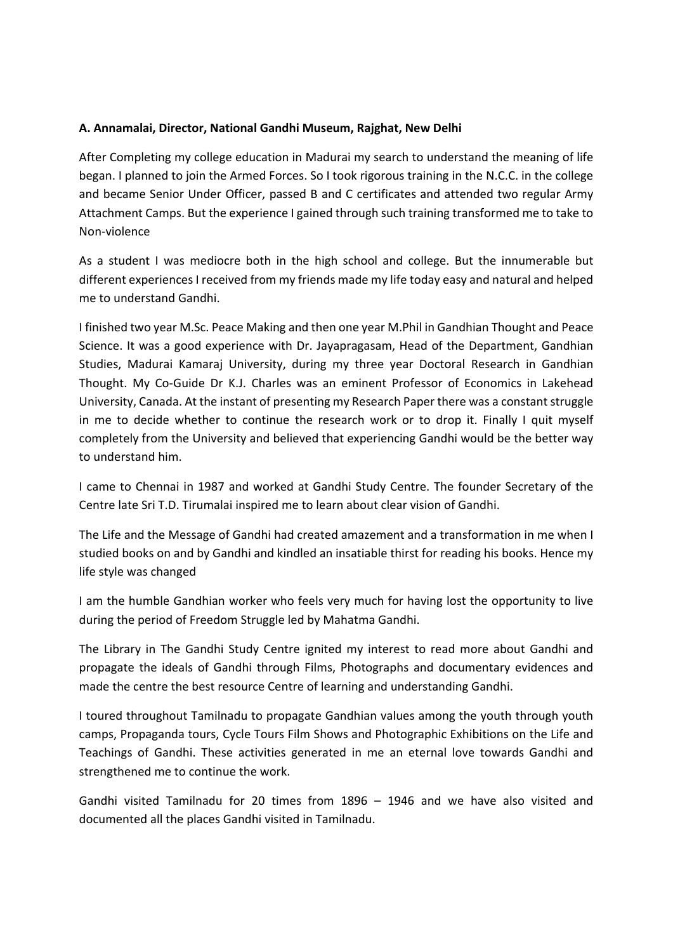## **A. Annamalai, Director, National Gandhi Museum, Rajghat, New Delhi**

After Completing my college education in Madurai my search to understand the meaning of life began. I planned to join the Armed Forces. So I took rigorous training in the N.C.C. in the college and became Senior Under Officer, passed B and C certificates and attended two regular Army Attachment Camps. But the experience I gained through such training transformed me to take to Non‐violence

As a student I was mediocre both in the high school and college. But the innumerable but different experiences I received from my friends made my life today easy and natural and helped me to understand Gandhi.

I finished two year M.Sc. Peace Making and then one year M.Phil in Gandhian Thought and Peace Science. It was a good experience with Dr. Jayapragasam, Head of the Department, Gandhian Studies, Madurai Kamaraj University, during my three year Doctoral Research in Gandhian Thought. My Co‐Guide Dr K.J. Charles was an eminent Professor of Economics in Lakehead University, Canada. At the instant of presenting my Research Paper there was a constant struggle in me to decide whether to continue the research work or to drop it. Finally I quit myself completely from the University and believed that experiencing Gandhi would be the better way to understand him.

I came to Chennai in 1987 and worked at Gandhi Study Centre. The founder Secretary of the Centre late Sri T.D. Tirumalai inspired me to learn about clear vision of Gandhi.

The Life and the Message of Gandhi had created amazement and a transformation in me when I studied books on and by Gandhi and kindled an insatiable thirst for reading his books. Hence my life style was changed

I am the humble Gandhian worker who feels very much for having lost the opportunity to live during the period of Freedom Struggle led by Mahatma Gandhi.

The Library in The Gandhi Study Centre ignited my interest to read more about Gandhi and propagate the ideals of Gandhi through Films, Photographs and documentary evidences and made the centre the best resource Centre of learning and understanding Gandhi.

I toured throughout Tamilnadu to propagate Gandhian values among the youth through youth camps, Propaganda tours, Cycle Tours Film Shows and Photographic Exhibitions on the Life and Teachings of Gandhi. These activities generated in me an eternal love towards Gandhi and strengthened me to continue the work.

Gandhi visited Tamilnadu for 20 times from 1896 – 1946 and we have also visited and documented all the places Gandhi visited in Tamilnadu.